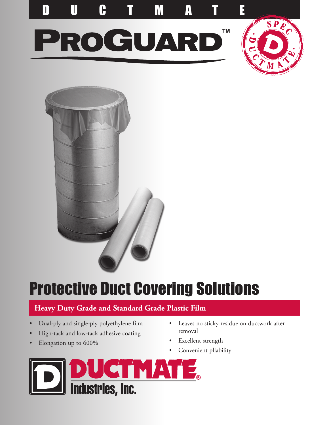





# Protective Duct Covering Solutions

### **Heavy Duty Grade and Standard Grade Plastic Film**

- Dual-ply and single-ply polyethylene film
- High-tack and low-tack adhesive coating
- Elongation up to 600%
- Leaves no sticky residue on ductwork after removal
- Excellent strength
- Convenient pliability